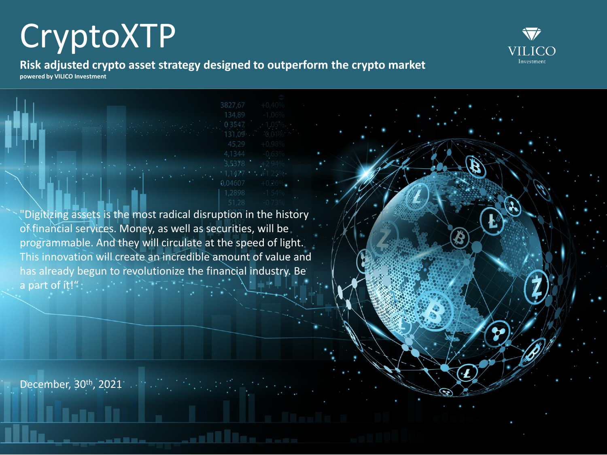

**Risk adjusted crypto asset strategy designed to outperform the crypto market powered by VILICO Investment**

"Digitizing assets is the most radical disruption in the history" of financial services. Money, as well as securities, will be programmable. And they will circulate at the speed of light. This innovation will create an incredible amount of value and has already begun to revolutionize the financial industry. Be a part of it!"

December, 30th, 2021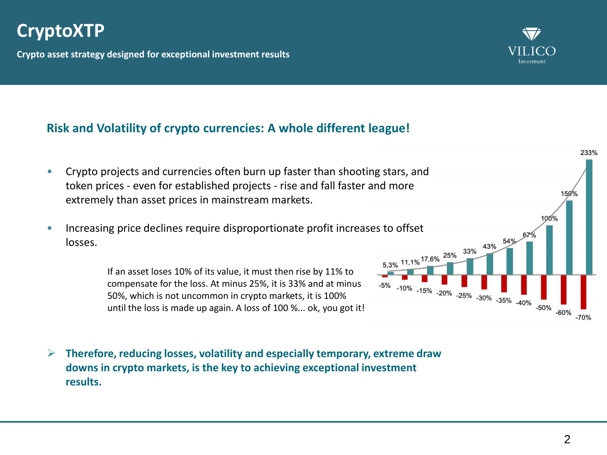**Crypto asset strategy designed for exceptional investment results** 



- Crypto projects and currencies often burn up faster than shooting stars, and token prices - even for established projects - rise and fall faster and more extremely than asset prices in mainstream markets.
- Increasing price declines require disproportionate profit increases to offset<br>losses.<br>If an accel loss of the second losses in the second losses of the second losses of the second losses in the second losses of the second losses.

If an asset loses 10% of its value, it must then rise by 11% to compensate for the loss. At minus 25%, it is 33% and at minus 50%, which is not uncommon in crypto markets, it is 100% until the loss is made up again. A loss of 100 %... ok, you got it!

➢ **Therefore, reducing losses, volatility and especially temporary, extreme draw downs in crypto markets, is the key to achieving exceptional investment results.**



233%



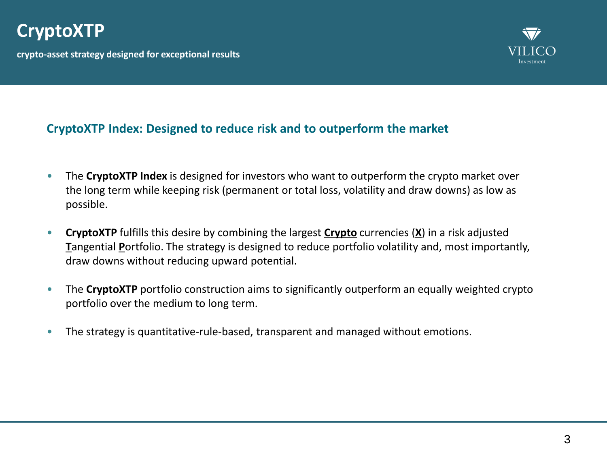**crypto-asset strategy designed for exceptional results** 



### **CryptoXTP Index: Designed to reduce risk and to outperform the market**

- The **CryptoXTP Index** is designed for investors who want to outperform the crypto market over the long term while keeping risk (permanent or total loss, volatility and draw downs) as low as possible.
- **CryptoXTP** fulfills this desire by combining the largest **Crypto** currencies (**X**) in a risk adjusted **T**angential **P**ortfolio. The strategy is designed to reduce portfolio volatility and, most importantly, draw downs without reducing upward potential.
- The **CryptoXTP** portfolio construction aims to significantly outperform an equally weighted crypto portfolio over the medium to long term.
- The strategy is quantitative-rule-based, transparent and managed without emotions.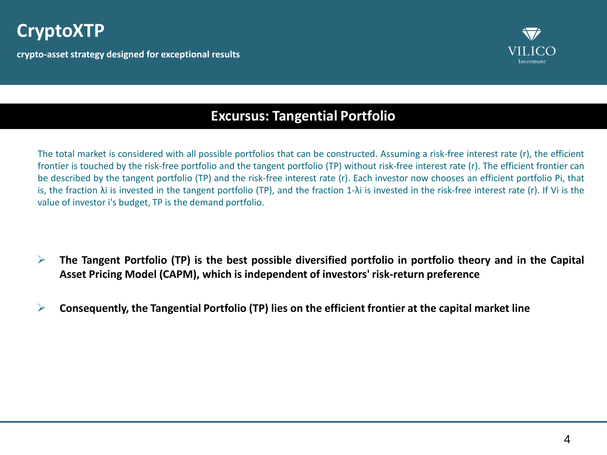**crypto-asset strategy designed for exceptional results** 



### **Excursus: Tangential Portfolio**

The total market is considered with all possible portfolios that can be constructed. Assuming a risk-free interest rate (r), the efficient frontier is touched by the risk-free portfolio and the tangent portfolio (TP) without risk-free interest rate (r). The efficient frontier can be described by the tangent portfolio (TP) and the risk-free interest rate (r). Each investor now chooses an efficient portfolio Pi, that is, the fraction λi is invested in the tangent portfolio (TP), and the fraction 1-λi is invested in the risk-free interest rate (r). If Vi is the value of investor i's budget, TP is the demand portfolio.

- $\triangleright$  The Tangent Portfolio (TP) is the best possible diversified portfolio in portfolio theory and in the Capital **Asset Pricing Model (CAPM), which is independent of investors' risk-return preference**
- ➢ **Consequently, the Tangential Portfolio (TP) lies on the efficient frontier at the capital market line**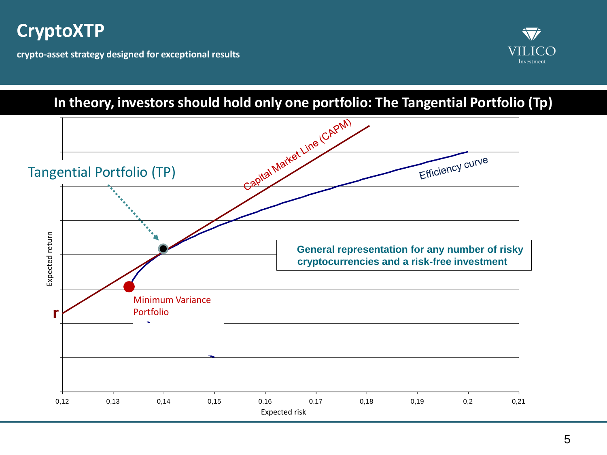**crypto-asset strategy designed for exceptional results** 



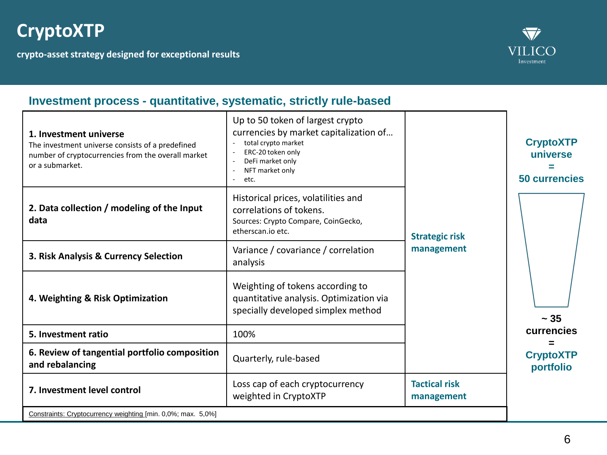**crypto-asset strategy designed for exceptional results** 



### **Investment process - quantitative, systematic, strictly rule-based**

| 1. Investment universe<br>The investment universe consists of a predefined<br>number of cryptocurrencies from the overall market<br>or a submarket.<br>2. Data collection / modeling of the Input<br>data<br>3. Risk Analysis & Currency Selection<br>4. Weighting & Risk Optimization<br>5. Investment ratio<br>6. Review of tangential portfolio composition<br>and rebalancing | Up to 50 token of largest crypto<br>currencies by market capitalization of<br>total crypto market<br>ERC-20 token only<br>DeFi market only<br>NFT market only<br>etc.<br>Historical prices, volatilities and<br>correlations of tokens.<br>Sources: Crypto Compare, CoinGecko,<br>etherscan.io etc.<br>Variance / covariance / correlation<br>analysis<br>Weighting of tokens according to<br>quantitative analysis. Optimization via<br>specially developed simplex method<br>100%<br>Quarterly, rule-based | <b>Strategic risk</b><br>management | <b>CryptoXTP</b><br>universe<br><b>50 currencies</b><br>$\sim 35$<br>currencies<br><b>CryptoXTP</b><br>portfolio |
|-----------------------------------------------------------------------------------------------------------------------------------------------------------------------------------------------------------------------------------------------------------------------------------------------------------------------------------------------------------------------------------|--------------------------------------------------------------------------------------------------------------------------------------------------------------------------------------------------------------------------------------------------------------------------------------------------------------------------------------------------------------------------------------------------------------------------------------------------------------------------------------------------------------|-------------------------------------|------------------------------------------------------------------------------------------------------------------|
| 7. Investment level control                                                                                                                                                                                                                                                                                                                                                       | Loss cap of each cryptocurrency<br>weighted in CryptoXTP                                                                                                                                                                                                                                                                                                                                                                                                                                                     | <b>Tactical risk</b><br>management  |                                                                                                                  |
| Constraints: Cryptocurrency weighting [min. 0,0%; max. 5,0%]                                                                                                                                                                                                                                                                                                                      |                                                                                                                                                                                                                                                                                                                                                                                                                                                                                                              |                                     |                                                                                                                  |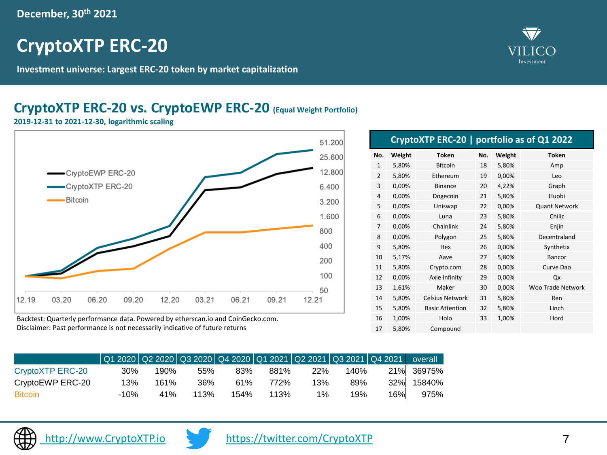# **CryptoXTP ERC-20**

**Investment universe: Largest ERC-20 token by market capitalization**

### **CryptoXTP ERC-20 vs. CryptoEWP ERC-20 (Equal Weight Portfolio)**

**2019-12-31 to 2021-12-30, logarithmic scaling** 



Backtest: Quarterly performance data. Powered by etherscan.io and CoinGecko.com. Disclaimer: Past performance is not necessarily indicative of future returns

|                  | Q1 2020   Q2 2020   Q3 2020   Q4 2020   Q1 2021   Q2 2021   Q3 2021   Q4 2021   overall |      |      |      |      |            |      |     |            |
|------------------|-----------------------------------------------------------------------------------------|------|------|------|------|------------|------|-----|------------|
| CryptoXTP ERC-20 | 30%                                                                                     | 190% | 55%  | 83%  | 881% | <b>22%</b> | 140% |     | 21% 36975% |
| CryptoEWP ERC-20 | 13%                                                                                     | 161% | 36%  | 61%  | 772% | 13%        | 89%  |     | 32% 15840% |
| <b>Bitcoin</b>   | -10%                                                                                    | 41%  | 113% | 154% | 113% | $1\%$      | 19%  | 16% | 975%       |







17 5,80% Compound



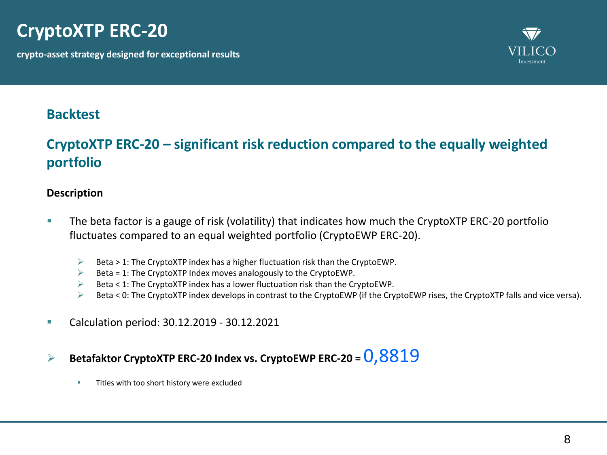# **CryptoXTP ERC-20**

**crypto-asset strategy designed for exceptional results** 



### **Backtest**

### **CryptoXTP ERC-20 – significant risk reduction compared to the equally weighted portfolio**

#### **Description**

- **The beta factor is a gauge of risk (volatility) that indicates how much the CryptoXTP ERC-20 portfolio** fluctuates compared to an equal weighted portfolio (CryptoEWP ERC-20).
	- $\triangleright$  Beta > 1: The CryptoXTP index has a higher fluctuation risk than the CryptoEWP.
	- $\triangleright$  Beta = 1: The CryptoXTP Index moves analogously to the CryptoEWP.
	- $\triangleright$  Beta < 1: The CryptoXTP index has a lower fluctuation risk than the CryptoEWP.
	- $\triangleright$  Beta < 0: The CryptoXTP index develops in contrast to the CryptoEWP (if the CryptoEWP rises, the CryptoXTP falls and vice versa).
- Calculation period: 30.12.2019 30.12.2021
- ➢ **Betafaktor CryptoXTP ERC-20 Index vs. CryptoEWP ERC-20 =** 0,8819
	- **EXECUTE:** Titles with too short history were excluded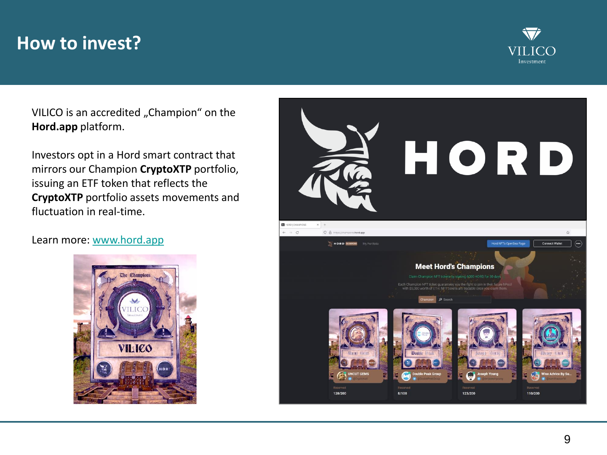# **How to invest?**



VILICO is an accredited "Champion" on the **Hord.app** platform.

Investors opt in a Hord smart contract that mirrors our Champion **CryptoXTP** portfolio, issuing an ETF token that reflects the **CryptoXTP** portfolio assets movements and fluctuation in real-time.

#### Learn more: [www.hord.app](http://www.hord.app/)



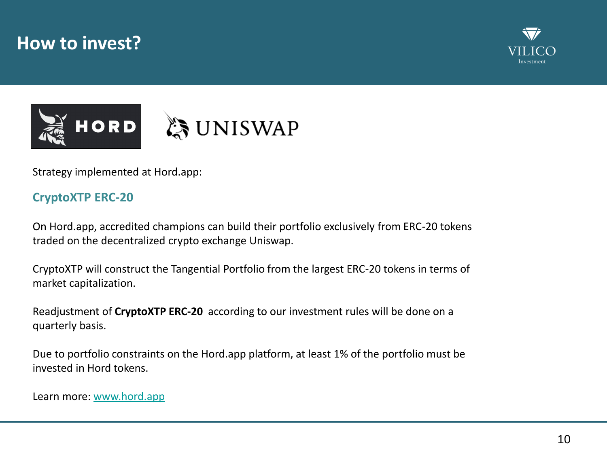### **How to invest?**







Strategy implemented at Hord.app:

### **CryptoXTP ERC-20**

On Hord.app, accredited champions can build their portfolio exclusively from ERC-20 tokens traded on the decentralized crypto exchange Uniswap.

CryptoXTP will construct the Tangential Portfolio from the largest ERC-20 tokens in terms of market capitalization.

Readjustment of **CryptoXTP ERC-20** according to our investment rules will be done on a quarterly basis.

Due to portfolio constraints on the Hord.app platform, at least 1% of the portfolio must be invested in Hord tokens.

Learn more: [www.hord.app](http://www.hord.app/)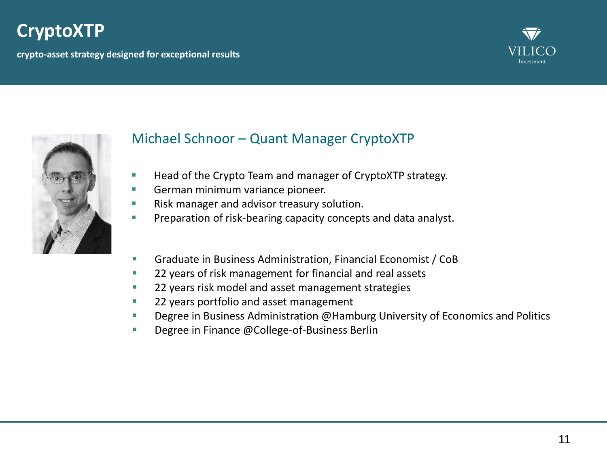**crypto-asset strategy designed for exceptional results** 





### Michael Schnoor – Quant Manager CryptoXTP

- Head of the Crypto Team and manager of CryptoXTP strategy.
- German minimum variance pioneer.
- Risk manager and advisor treasury solution.
- **EXECT** Preparation of risk-bearing capacity concepts and data analyst.
- Graduate in Business Administration, Financial Economist / CoB
- 22 years of risk management for financial and real assets
- 22 years risk model and asset management strategies
- 22 years portfolio and asset management
- **E** Degree in Business Administration @Hamburg University of Economics and Politics
- Degree in Finance @College-of-Business Berlin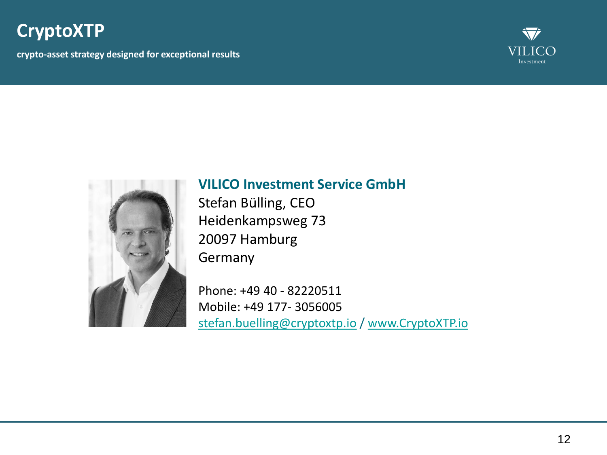**crypto-asset strategy designed for exceptional results** 





### **VILICO Investment Service GmbH**

Stefan Bülling, CEO Heidenkampsweg 73 20097 Hamburg Germany

Phone: +49 40 - 82220511 Mobile: +49 177- 3056005 [stefan.buelling@cryptoxtp.io](mailto:Stefan.buelling@CryptoXTP.io) / [www.CryptoXTP.io](http://www.cryptoxtp.io/)